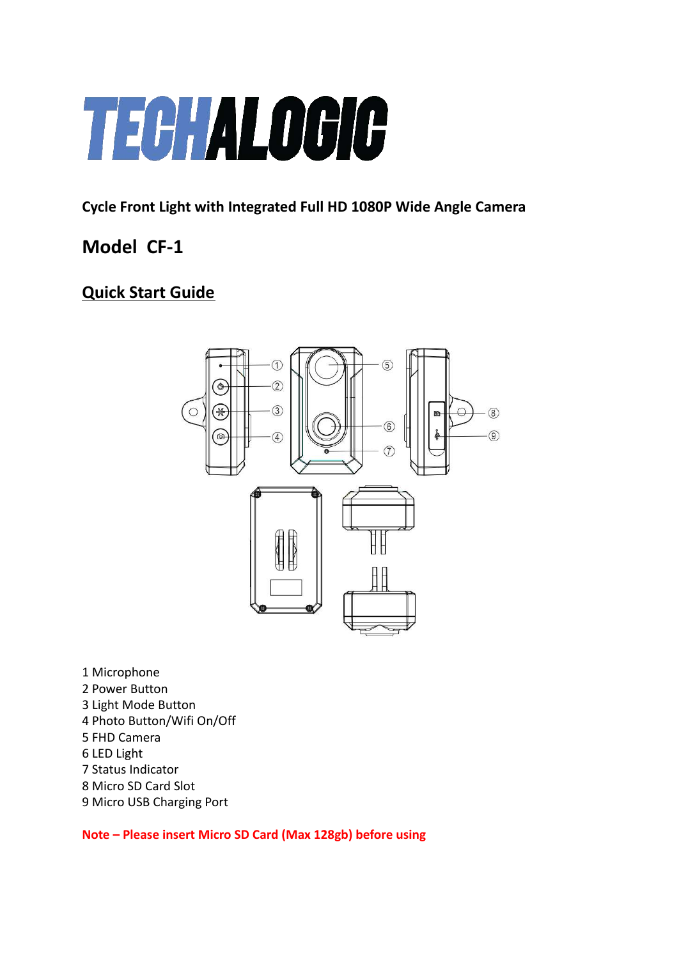# **TECHALOGIC**

**Cycle Front Light with Integrated Full HD 1080P Wide Angle Camera**

## **Model CF-1**

### **Quick Start Guide**



1 Microphone

- 2 Power Button
- 3 Light Mode Button
- 4 Photo Button/Wifi On/Off
- 5 FHD Camera
- 6 LED Light
- 7 Status Indicator
- 8 Micro SD Card Slot
- 9 Micro USB Charging Port

**Note – Please insert Micro SD Card (Max 128gb) before using**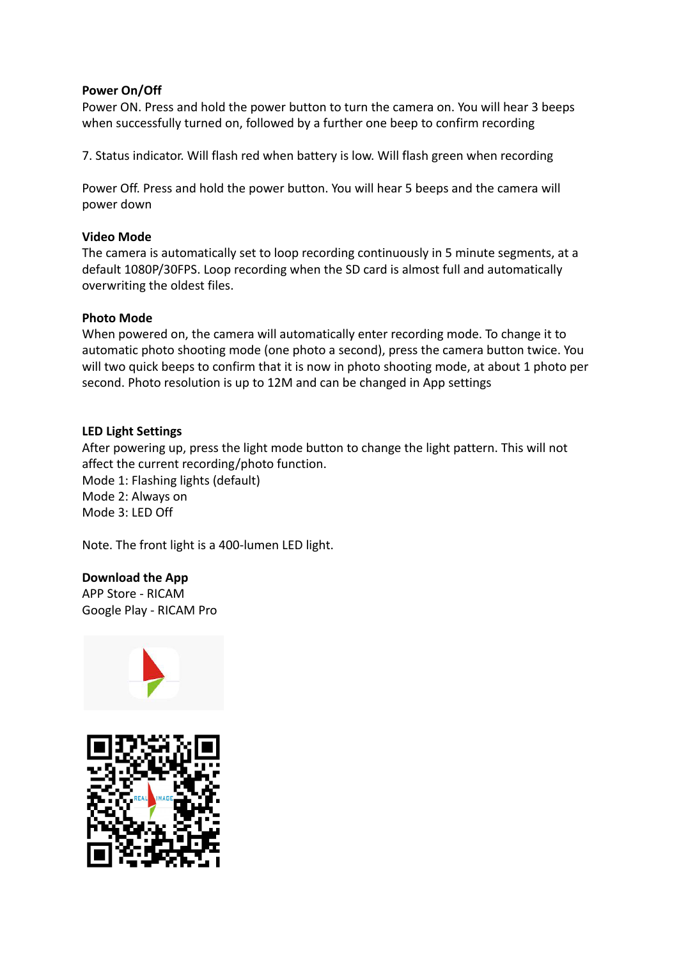#### **Power On/Off**

Power ON. Press and hold the power button to turn the camera on. You will hear 3 beeps when successfully turned on, followed by a further one beep to confirm recording

7. Status indicator. Will flash red when battery is low. Will flash green when recording

Power Off. Press and hold the power button. You will hear 5 beeps and the camera will power down

#### **Video Mode**

The camera is automatically set to loop recording continuously in 5 minute segments, at a default 1080P/30FPS. Loop recording when the SD card is almost full and automatically overwriting the oldest files.

#### **Photo Mode**

When powered on, the camera will automatically enter recording mode. To change it to automatic photo shooting mode (one photo a second), press the camera button twice. You will two quick beeps to confirm that it is now in photo shooting mode, at about 1 photo per second. Photo resolution is up to 12M and can be changed in App settings

#### **LED Light Settings**

After powering up, press the light mode button to change the light pattern. This will not affect the current recording/photo function. Mode 1: Flashing lights (default) Mode 2: Always on Mode 3: LED Off

Note. The front light is a 400-lumen LED light.

#### **Download the App**

APP Store - RICAM Google Play - RICAM Pro



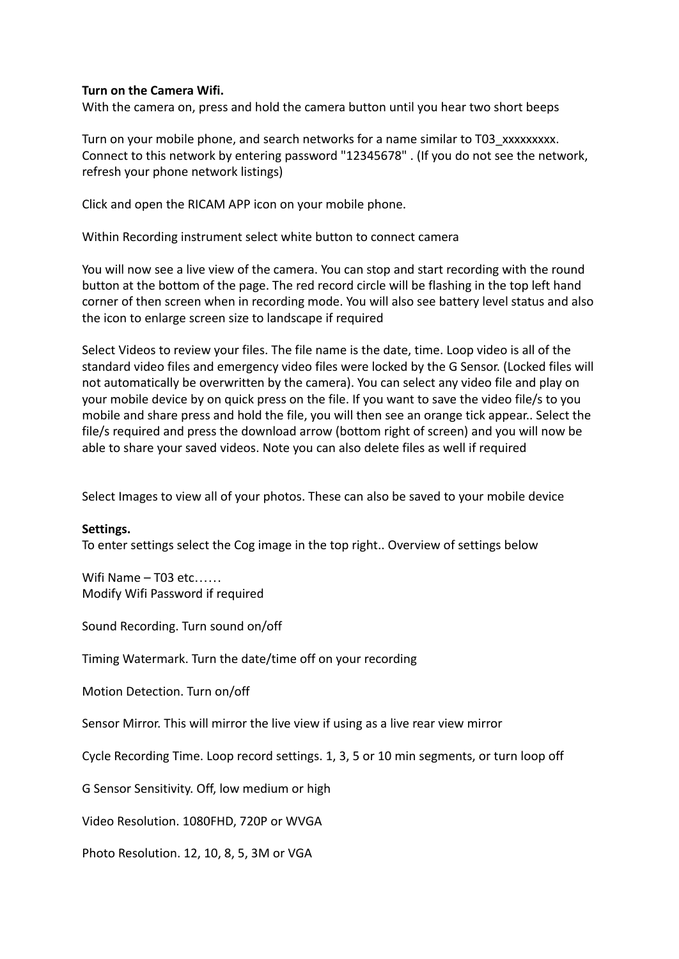#### **Turn on the Camera Wifi.**

With the camera on, press and hold the camera button until you hear two short beeps

Turn on your mobile phone, and search networks for a name similar to T03\_xxxxxxxxx. Connect to this network by entering password "12345678" . (If you do not see the network, refresh your phone network listings)

Click and open the RICAM APP icon on your mobile phone.

Within Recording instrument select white button to connect camera

You will now see a live view of the camera. You can stop and start recording with the round button at the bottom of the page. The red record circle will be flashing in the top left hand corner of then screen when in recording mode. You will also see battery level status and also the icon to enlarge screen size to landscape if required

Select Videos to review your files. The file name is the date, time. Loop video is all of the standard video files and emergency video files were locked by the G Sensor. (Locked files will not automatically be overwritten by the camera). You can select any video file and play on your mobile device by on quick press on the file. If you want to save the video file/s to you mobile and share press and hold the file, you will then see an orange tick appear.. Select the file/s required and press the download arrow (bottom right of screen) and you will now be able to share your saved videos. Note you can also delete files as well if required

Select Images to view all of your photos. These can also be saved to your mobile device

#### **Settings.**

To enter settings select the Cog image in the top right.. Overview of settings below

Wifi Name – T03 etc…… Modify Wifi Password if required

Sound Recording. Turn sound on/off

Timing Watermark. Turn the date/time off on your recording

Motion Detection. Turn on/off

Sensor Mirror. This will mirror the live view if using as a live rear view mirror

Cycle Recording Time. Loop record settings. 1, 3, 5 or 10 min segments, or turn loop off

G Sensor Sensitivity. Off, low medium or high

Video Resolution. 1080FHD, 720P or WVGA

Photo Resolution. 12, 10, 8, 5, 3M or VGA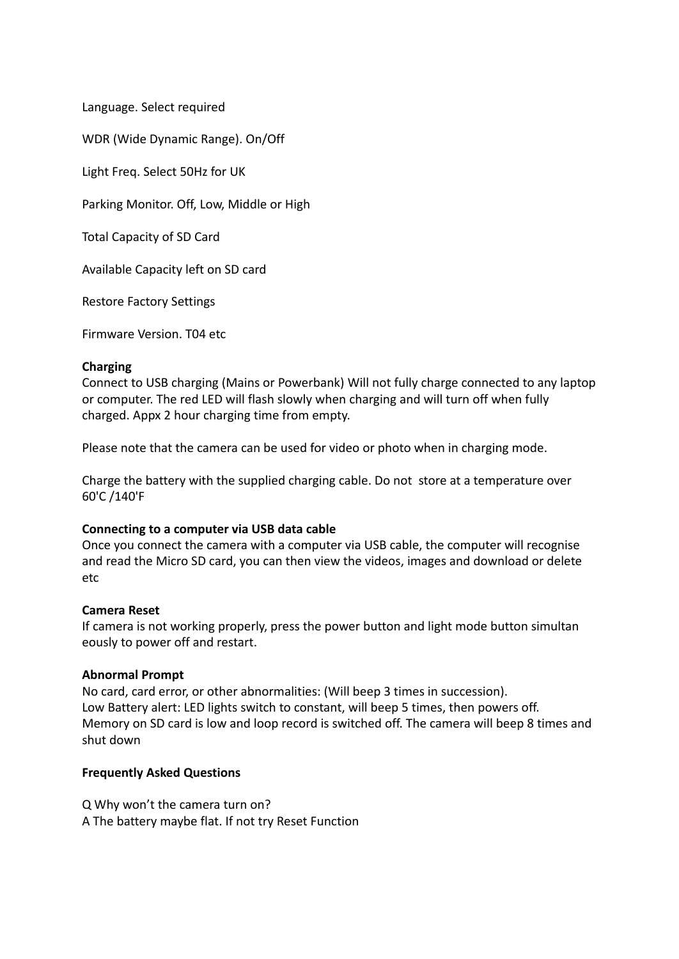Language. Select required

WDR (Wide Dynamic Range). On/Off

Light Freq. Select 50Hz for UK

Parking Monitor. Off, Low, Middle or High

Total Capacity of SD Card

Available Capacity left on SD card

Restore Factory Settings

Firmware Version. T04 etc

#### **Charging**

Connect to USB charging (Mains or Powerbank) Will not fully charge connected to any laptop or computer. The red LED will flash slowly when charging and will turn off when fully charged. Appx 2 hour charging time from empty.

Please note that the camera can be used for video or photo when in charging mode.

Charge the battery with the supplied charging cable. Do not store at a temperature over 60'C /140'F

#### **Connecting to a computer via USB data cable**

Once you connect the camera with a computer via USB cable, the computer will recognise and read the Micro SD card, you can then view the videos, images and download or delete etc

#### **Camera Reset**

If camera is not working properly, press the power button and light mode button simultan eously to power off and restart.

#### **Abnormal Prompt**

No card, card error, or other abnormalities: (Will beep 3 times in succession). Low Battery alert: LED lights switch to constant, will beep 5 times, then powers off. Memory on SD card is low and loop record is switched off. The camera will beep 8 times and shut down

#### **Frequently Asked Questions**

Q Why won't the camera turn on? A The battery maybe flat. If not try Reset Function